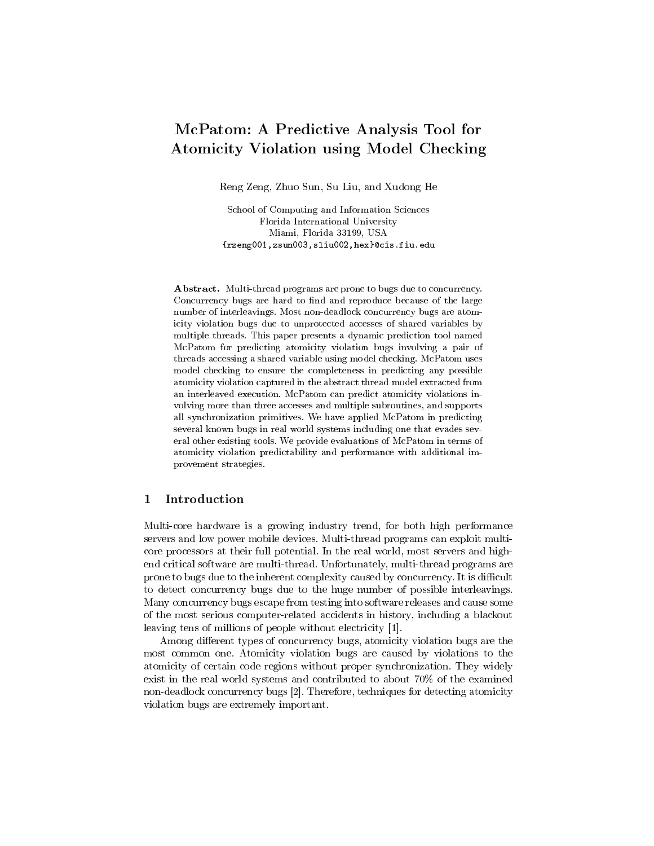# McPatom: A Predictive Analysis Tool for Atomicity Violation using Model Checking

Reng Zeng, Zhuo Sun, Su Liu, and Xudong He

School of Computing and Information Sciences Florida International University Miami, Florida 33199, USA {rzeng001,zsun003,sliu002,hex}@cis.fiu.edu

Abstract. Multi-thread programs are prone to bugs due to concurrency. Concurrency bugs are hard to find and reproduce because of the large number of interleavings. Most non-deadlock concurrency bugs are atomicity violation bugs due to unprotected accesses of shared variables by multiple threads. This paper presents a dynamic prediction tool named McPatom for predicting atomicity violation bugs involving a pair of threads accessing a shared variable using model checking. McPatom uses model checking to ensure the completeness in predicting any possible atomicity violation captured in the abstract thread model extracted from an interleaved execution. McPatom can predict atomicity violations involving more than three accesses and multiple subroutines, and supports all synchronization primitives. We have applied McPatom in predicting several known bugs in real world systems including one that evades several other existing tools. We provide evaluations of McPatom in terms of atomicity violation predictability and performance with additional improvement strategies.

# 1 Introduction

Multi-core hardware is a growing industry trend, for both high performance servers and low power mobile devices. Multi-thread programs can exploit multicore processors at their full potential. In the real world, most servers and highend critical software are multi-thread. Unfortunately, multi-thread programs are prone to bugs due to the inherent complexity caused by concurrency. It is difficult to detect concurrency bugs due to the huge number of possible interleavings. Many concurrency bugs escape from testing into software releases and cause some of the most serious computer-related accidents in history, including a blackout leaving tens of millions of people without electricity [1].

Among different types of concurrency bugs, atomicity violation bugs are the most common one. Atomicity violation bugs are caused by violations to the atomicity of certain code regions without proper synchronization. They widely exist in the real world systems and contributed to about 70% of the examined non-deadlock concurrency bugs [2]. Therefore, techniques for detecting atomicity violation bugs are extremely important.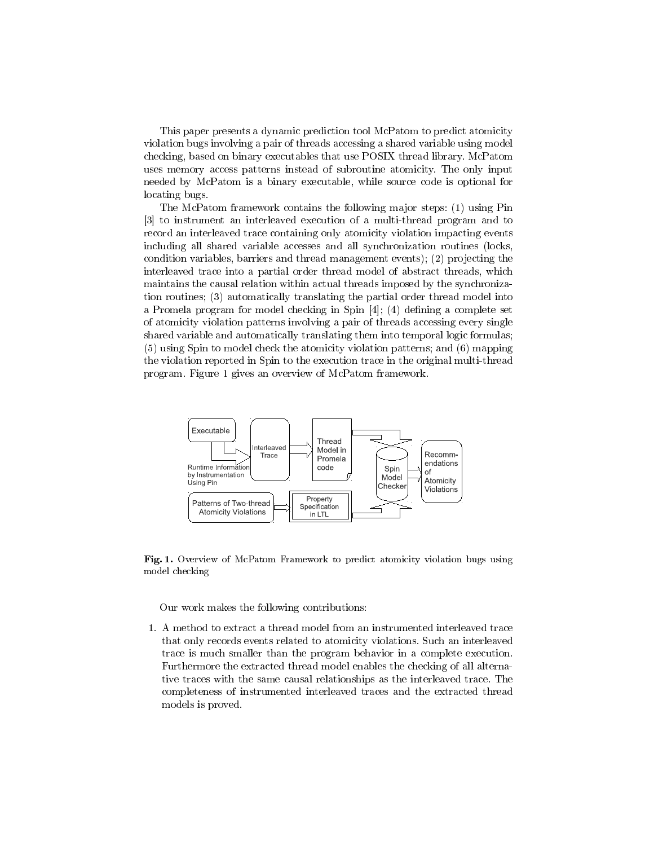This paper presents a dynamic prediction tool McPatom to predict atomicity violation bugs involving a pair of threads accessing a shared variable using model checking, based on binary executables that use POSIX thread library. McPatom uses memory access patterns instead of subroutine atomicity. The only input needed by McPatom is a binary executable, while source code is optional for locating bugs.

The McPatom framework contains the following major steps: (1) using Pin [3] to instrument an interleaved execution of a multi-thread program and to record an interleaved trace containing only atomicity violation impacting events including all shared variable accesses and all synchronization routines (locks, condition variables, barriers and thread management events); (2) projecting the interleaved trace into a partial order thread model of abstract threads, which maintains the causal relation within actual threads imposed by the synchronization routines; (3) automatically translating the partial order thread model into a Promela program for model checking in Spin  $[4]$ ;  $(4)$  defining a complete set of atomicity violation patterns involving a pair of threads accessing every single shared variable and automatically translating them into temporal logic formulas; (5) using Spin to model check the atomicity violation patterns; and (6) mapping the violation reported in Spin to the execution trace in the original multi-thread program. Figure 1 gives an overview of McPatom framework.



Fig. 1. Overview of McPatom Framework to predict atomicity violation bugs using model checking

Our work makes the following contributions:

1. A method to extract a thread model from an instrumented interleaved trace that only records events related to atomicity violations. Such an interleaved trace is much smaller than the program behavior in a complete execution. Furthermore the extracted thread model enables the checking of all alternative traces with the same causal relationships as the interleaved trace. The completeness of instrumented interleaved traces and the extracted thread models is proved.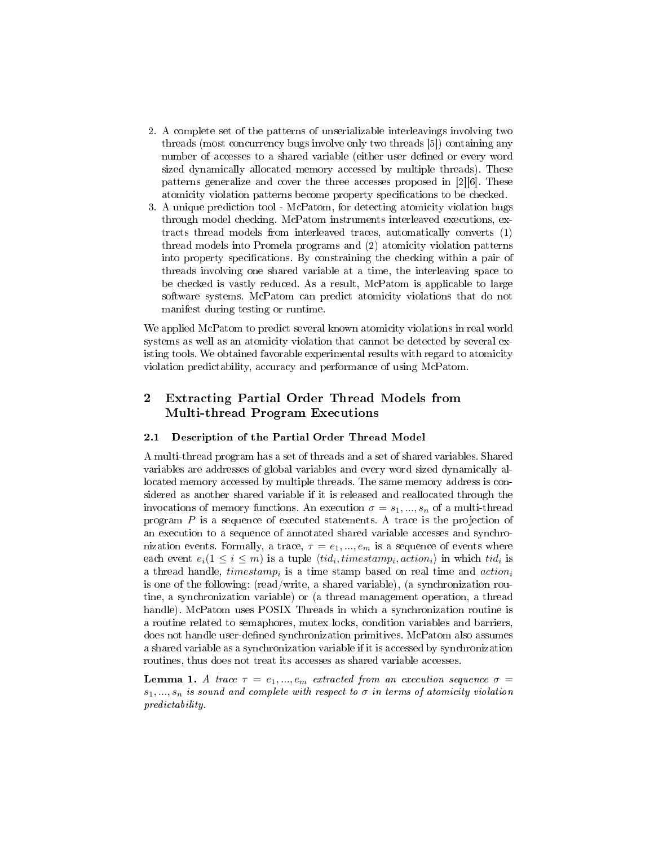- 2. A complete set of the patterns of unserializable interleavings involving two threads (most concurrency bugs involve only two threads [5]) containing any number of accesses to a shared variable (either user defined or every word sized dynamically allocated memory accessed by multiple threads). These patterns generalize and cover the three accesses proposed in [2][6]. These atomicity violation patterns become property specifications to be checked.
- 3. A unique prediction tool McPatom, for detecting atomicity violation bugs through model checking. McPatom instruments interleaved executions, extracts thread models from interleaved traces, automatically converts (1) thread models into Promela programs and (2) atomicity violation patterns into property specifications. By constraining the checking within a pair of threads involving one shared variable at a time, the interleaving space to be checked is vastly reduced. As a result, McPatom is applicable to large software systems. McPatom can predict atomicity violations that do not manifest during testing or runtime.

We applied McPatom to predict several known atomicity violations in real world systems as well as an atomicity violation that cannot be detected by several existing tools. We obtained favorable experimental results with regard to atomicity violation predictability, accuracy and performance of using McPatom.

# 2 Extracting Partial Order Thread Models from Multi-thread Program Executions

#### 2.1 Description of the Partial Order Thread Model

A multi-thread program has a set of threads and a set of shared variables. Shared variables are addresses of global variables and every word sized dynamically allocated memory accessed by multiple threads. The same memory address is considered as another shared variable if it is released and reallocated through the invocations of memory functions. An execution  $\sigma = s_1, ..., s_n$  of a multi-thread program P is a sequence of executed statements. A trace is the projection of an execution to a sequence of annotated shared variable accesses and synchronization events. Formally, a trace,  $\tau = e_1, ..., e_m$  is a sequence of events where each event  $e_i(1 \leq i \leq m)$  is a tuple  $\langle tid_i, timestamp_i, action_i \rangle$  in which  $tid_i$  is a thread handle,  $timestamp_i$  is a time stamp based on real time and  $action_i$ is one of the following: (read/write, a shared variable), (a synchronization routine, a synchronization variable) or (a thread management operation, a thread handle). McPatom uses POSIX Threads in which a synchronization routine is a routine related to semaphores, mutex locks, condition variables and barriers, does not handle user-defined synchronization primitives. McPatom also assumes a shared variable as a synchronization variable if it is accessed by synchronization routines, thus does not treat its accesses as shared variable accesses.

**Lemma 1.** A trace  $\tau = e_1, ..., e_m$  extracted from an execution sequence  $\sigma =$  $s_1, ..., s_n$  is sound and complete with respect to  $\sigma$  in terms of atomicity violation predictability.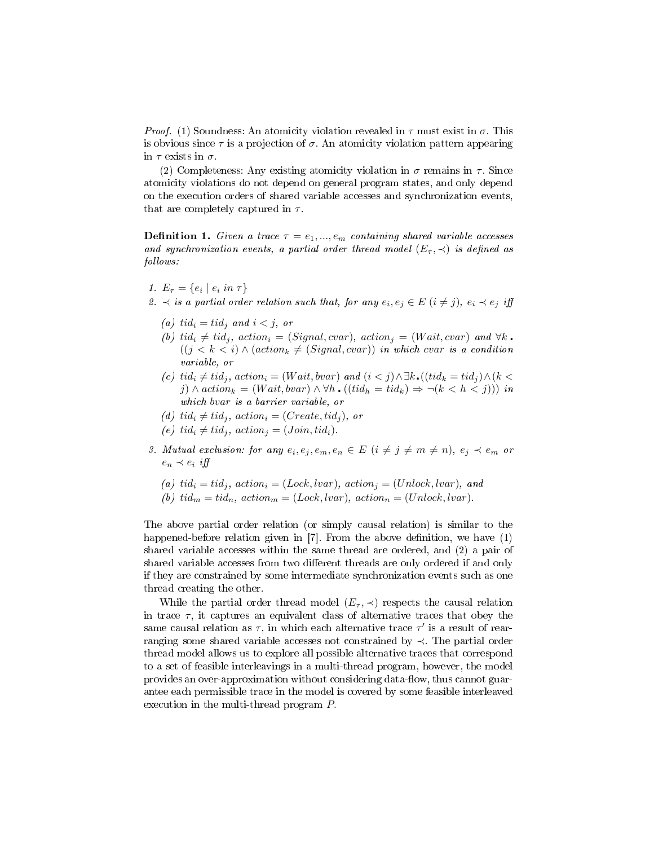*Proof.* (1) Soundness: An atomicity violation revealed in  $\tau$  must exist in  $\sigma$ . This is obvious since  $\tau$  is a projection of  $\sigma$ . An atomicity violation pattern appearing in  $\tau$  exists in  $\sigma$ .

(2) Completeness: Any existing atomicity violation in  $\sigma$  remains in  $\tau$ . Since atomicity violations do not depend on general program states, and only depend on the execution orders of shared variable accesses and synchronization events, that are completely captured in  $\tau$ .

**Definition 1.** Given a trace  $\tau = e_1, ..., e_m$  containing shared variable accesses and synchronization events, a partial order thread model  $(E_{\tau}, \prec)$  is defined as follows:

1.  $E_{\tau} = \{e_i \mid e_i \text{ in } \tau\}$ 

2.  $\prec$  is a partial order relation such that, for any  $e_i, e_j \in E$   $(i \neq j)$ ,  $e_i \prec e_j$  iff

- (a) tid<sub>i</sub> = tid<sub>i</sub> and  $i < j$ , or
- (b) tid<sub>i</sub>  $\neq$  tid<sub>i</sub>, action<sub>i</sub> = (Signal, cvar), action<sub>i</sub> = (Wait, cvar) and  $\forall k$ .  $((j < k < i) \wedge (action_k \neq (Signal, cvar))$  in which cvar is a condition variable, or
- (c) tid<sub>i</sub>  $\neq$  tid<sub>j</sub>, action<sub>i</sub> = (Wait, bvar) and  $(i < j) \land \exists k$ . ((tid<sub>k</sub> = tid<sub>j</sub>)  $\land$  (k < j)  $\land$  action<sub>k</sub> = (Wait, bvar)  $\land \forall h \cdot ((tid_h = tid_k) \Rightarrow \neg (k < h < j))$ ) in which bvar is a barrier variable, or
- (d) tid<sub>i</sub>  $\neq$  tid<sub>i</sub>, action<sub>i</sub> = (Create, tid<sub>i</sub>), or
- (e)  $tid_i \neq tid_j$ ,  $action_j = (Join, tid_i)$ .
- 3. Mutual exclusion: for any  $e_i, e_j, e_m, e_n \in E$   $(i \neq j \neq m \neq n)$ ,  $e_j \prec e_m$  or  $e_n \prec e_i$  iff
	- (a)  $tid_i = tid_j$ ,  $action_i = (Lock, lvar)$ ,  $action_j = (Unlock, lvar)$ , and
	- (b)  $tid_m = tid_n$ ,  $action_m = (Lock, lvar)$ ,  $action_n = (Unlock, lvar)$ .

The above partial order relation (or simply causal relation) is similar to the happened-before relation given in  $[7]$ . From the above definition, we have  $(1)$ shared variable accesses within the same thread are ordered, and (2) a pair of shared variable accesses from two different threads are only ordered if and only if they are constrained by some intermediate synchronization events such as one thread creating the other.

While the partial order thread model  $(E_{\tau}, \prec)$  respects the causal relation in trace  $\tau$ , it captures an equivalent class of alternative traces that obey the same causal relation as  $\tau$ , in which each alternative trace  $\tau'$  is a result of rearranging some shared variable accesses not constrained by ≺. The partial order thread model allows us to explore all possible alternative traces that correspond to a set of feasible interleavings in a multi-thread program, however, the model provides an over-approximation without considering data-flow, thus cannot guarantee each permissible trace in the model is covered by some feasible interleaved execution in the multi-thread program P.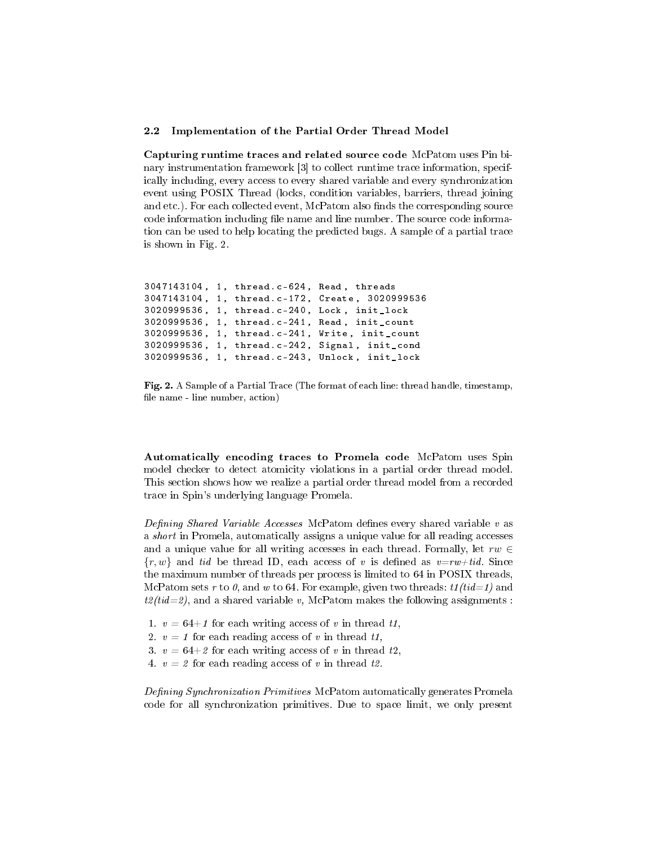#### 2.2 Implementation of the Partial Order Thread Model

Capturing runtime traces and related source code McPatom uses Pin binary instrumentation framework [3] to collect runtime trace information, specifically including, every access to every shared variable and every synchronization event using POSIX Thread (locks, condition variables, barriers, thread joining and etc.). For each collected event, McPatom also finds the corresponding source code information including file name and line number. The source code information can be used to help locating the predicted bugs. A sample of a partial trace is shown in Fig. 2.

```
3047143104, 1, thread.c-624, Read, threads
3047143104 , 1 , thread .c -172 , Create , 3020999536
3020999536, 1, thread.c-240, Lock, init_lock
3020999536 , 1 , thread .c -241 , Read , init_count
3020999536 , 1 , thread .c -241 , Write , init_count
3020999536 , 1 , thread .c -242 , Signal , init_cond
3020999536 , 1 , thread .c -243 , Unlock , init_lock
```
Fig. 2. A Sample of a Partial Trace (The format of each line: thread handle, timestamp, file name - line number, action)

Automatically encoding traces to Promela code McPatom uses Spin model checker to detect atomicity violations in a partial order thread model. This section shows how we realize a partial order thread model from a recorded trace in Spin's underlying language Promela.

Defining Shared Variable Accesses McPatom defines every shared variable  $v$  as a short in Promela, automatically assigns a unique value for all reading accesses and a unique value for all writing accesses in each thread. Formally, let  $rw \in$  ${r, w}$  and tid be thread ID, each access of v is defined as  $v=rw+tid$ . Since the maximum number of threads per process is limited to 64 in POSIX threads, McPatom sets r to  $\theta$ , and w to 64. For example, given two threads:  $t1(tid=1)$  and  $t2(tid=2)$ , and a shared variable v, McPatom makes the following assignments :

- 1.  $v = 64+1$  for each writing access of v in thread t1,
- 2.  $v = 1$  for each reading access of v in thread t1,
- 3.  $v = 64+2$  for each writing access of v in thread t2,
- 4.  $v = 2$  for each reading access of v in thread t2.

Defining Synchronization Primitives McPatom automatically generates Promela code for all synchronization primitives. Due to space limit, we only present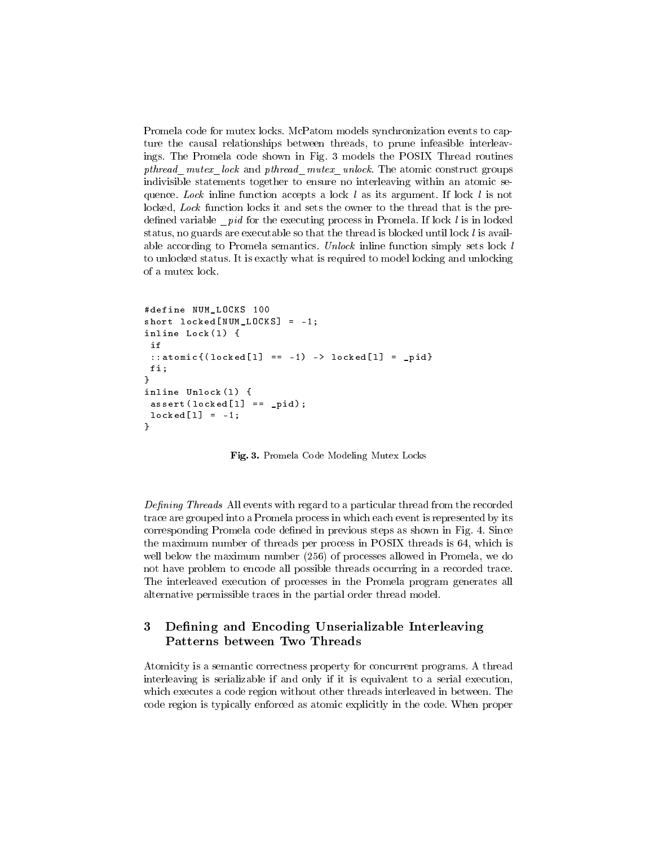Promela code for mutex locks. McPatom models synchronization events to capture the causal relationships between threads, to prune infeasible interleavings. The Promela code shown in Fig. 3 models the POSIX Thread routines pthread mutex lock and pthread mutex unlock. The atomic construct groups indivisible statements together to ensure no interleaving within an atomic sequence. Lock inline function accepts a lock l as its argument. If lock l is not locked, Lock function locks it and sets the owner to the thread that is the predefined variable  $pid$  for the executing process in Promela. If lock  $l$  is in locked status, no guards are executable so that the thread is blocked until lock  $l$  is available according to Promela semantics. Unlock inline function simply sets lock l to unlocked status. It is exactly what is required to model locking and unlocking of a mutex lock.

```
# define NUM_LOCKS 100
short locked[NUM_LOCKS] = -1;inline Lock(1) {
 if
 :: atomic {(locked [1] == -1) -> locked [1] = pid}
fi ;
}
inline Unlock (1) {
 \texttt{assert}(\texttt{locked[1]} == \texttt{-pid});locked [1] = -1;}
```
Fig. 3. Promela Code Modeling Mutex Locks

Defining Threads All events with regard to a particular thread from the recorded trace are grouped into a Promela process in which each event is represented by its corresponding Promela code defined in previous steps as shown in Fig. 4. Since the maximum number of threads per process in POSIX threads is 64, which is well below the maximum number (256) of processes allowed in Promela, we do not have problem to encode all possible threads occurring in a recorded trace. The interleaved execution of processes in the Promela program generates all alternative permissible traces in the partial order thread model.

## 3 Defining and Encoding Unserializable Interleaving Patterns between Two Threads

Atomicity is a semantic correctness property for concurrent programs. A thread interleaving is serializable if and only if it is equivalent to a serial execution, which executes a code region without other threads interleaved in between. The code region is typically enforced as atomic explicitly in the code. When proper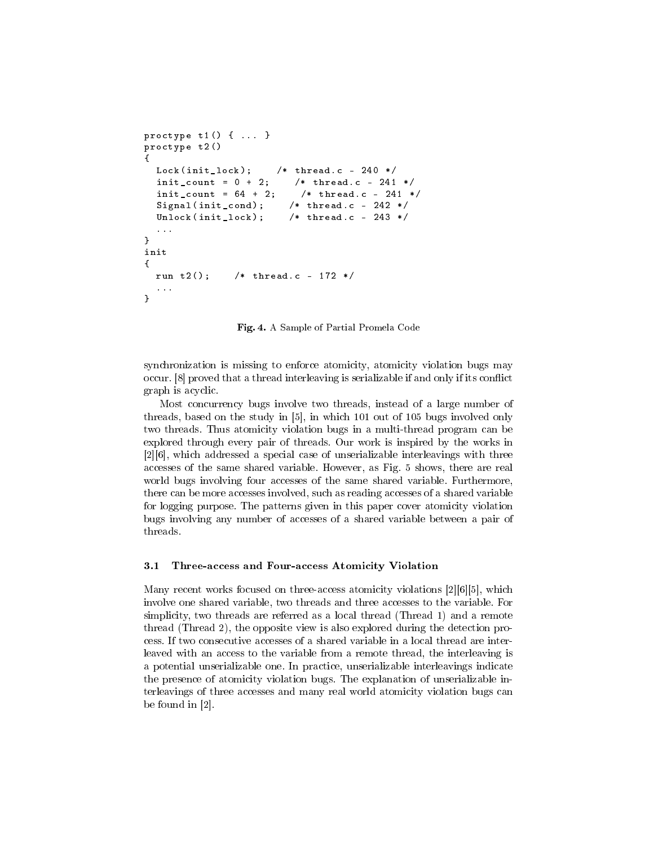```
proctype t1() { ... }
proctype t2 ()
{
 Lock (init\_lock); /* thread. c - 240 */
  init_count = 0 + 2; /* thread.c - 241 */
  init_count = 64 + 2; /* thread.c - 241 */
  Signal (init_cond); /* thread. c - 242 */Unlock (init_lock); /* thread. c - 243 */...
}
init
{
  run t2(); /* thread.c - 172 */...
}
```
Fig. 4. A Sample of Partial Promela Code

synchronization is missing to enforce atomicity, atomicity violation bugs may occur. [8] proved that a thread interleaving is serializable if and only if its conflict graph is acyclic.

Most concurrency bugs involve two threads, instead of a large number of threads, based on the study in [5], in which 101 out of 105 bugs involved only two threads. Thus atomicity violation bugs in a multi-thread program can be explored through every pair of threads. Our work is inspired by the works in [2][6], which addressed a special case of unserializable interleavings with three accesses of the same shared variable. However, as Fig. 5 shows, there are real world bugs involving four accesses of the same shared variable. Furthermore, there can be more accesses involved, such as reading accesses of a shared variable for logging purpose. The patterns given in this paper cover atomicity violation bugs involving any number of accesses of a shared variable between a pair of threads.

#### 3.1 Three-access and Four-access Atomicity Violation

Many recent works focused on three-access atomicity violations [2][6][5], which involve one shared variable, two threads and three accesses to the variable. For simplicity, two threads are referred as a local thread (Thread 1) and a remote thread (Thread 2), the opposite view is also explored during the detection process. If two consecutive accesses of a shared variable in a local thread are interleaved with an access to the variable from a remote thread, the interleaving is a potential unserializable one. In practice, unserializable interleavings indicate the presence of atomicity violation bugs. The explanation of unserializable interleavings of three accesses and many real world atomicity violation bugs can be found in [2].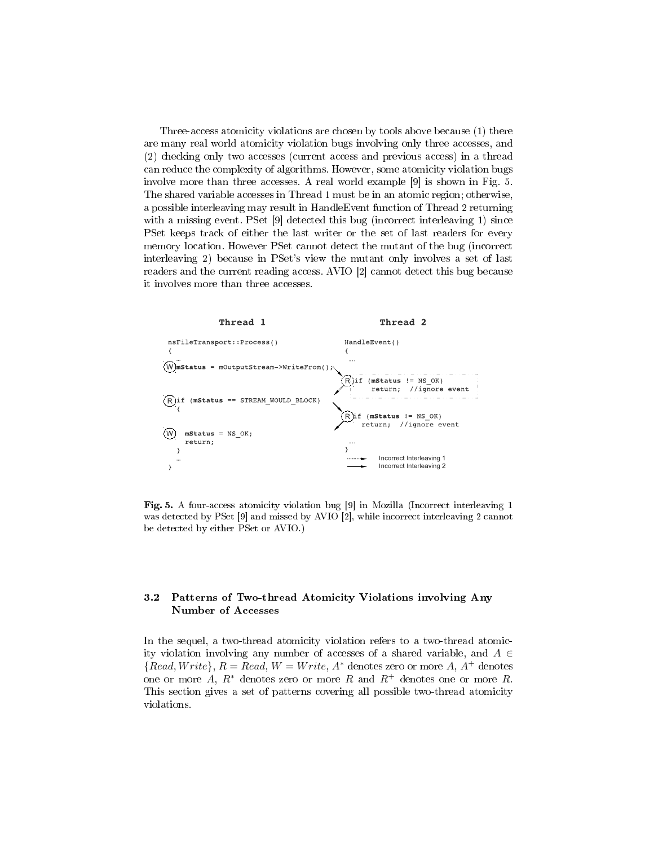Three-access atomicity violations are chosen by tools above because (1) there are many real world atomicity violation bugs involving only three accesses, and (2) checking only two accesses (current access and previous access) in a thread can reduce the complexity of algorithms. However, some atomicity violation bugs involve more than three accesses. A real world example [9] is shown in Fig. 5. The shared variable accesses in Thread 1 must be in an atomic region; otherwise, a possible interleaving may result in HandleEvent function of Thread 2 returning with a missing event. PSet [9] detected this bug (incorrect interleaving 1) since PSet keeps track of either the last writer or the set of last readers for every memory location. However PSet cannot detect the mutant of the bug (incorrect interleaving 2) because in PSet's view the mutant only involves a set of last readers and the current reading access. AVIO [2] cannot detect this bug because it involves more than three accesses.



Fig. 5. A four-access atomicity violation bug [9] in Mozilla (Incorrect interleaving 1 was detected by PSet [9] and missed by AVIO [2], while incorrect interleaving 2 cannot be detected by either PSet or AVIO.)

### 3.2 Patterns of Two-thread Atomicity Violations involving Any Number of Accesses

In the sequel, a two-thread atomicity violation refers to a two-thread atomicity violation involving any number of accesses of a shared variable, and  $A \in$  ${Read, Write}, R = Read, W = Write, A^*$  denotes zero or more A,  $A^+$  denotes one or more A,  $R^*$  denotes zero or more R and  $R^+$  denotes one or more R. This section gives a set of patterns covering all possible two-thread atomicity violations.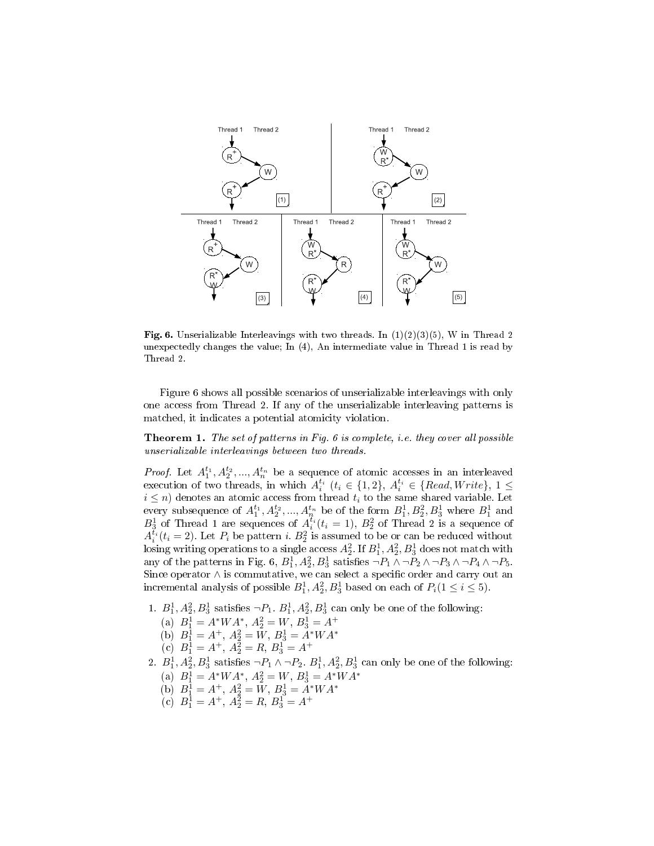

**Fig. 6.** Unserializable Interleavings with two threads. In  $(1)(2)(3)(5)$ , W in Thread 2 unexpectedly changes the value; In (4), An intermediate value in Thread 1 is read by Thread 2.

Figure 6 shows all possible scenarios of unserializable interleavings with only one access from Thread 2. If any of the unserializable interleaving patterns is matched, it indicates a potential atomicity violation.

Theorem 1. The set of patterns in Fig. 6 is complete, i.e. they cover all possible unserializable interleavings between two threads.

*Proof.* Let  $A_1^{t_1}, A_2^{t_2},..., A_n^{t_n}$  be a sequence of atomic accesses in an interleaved Froot. Let  $A_1, A_2, ..., A_n$  be a sequence of atomic accesses in an interleaved execution of two threads, in which  $A_i^{t_i}$  ( $t_i \in \{1, 2\}$ ,  $A_i^{t_i} \in \{Read, Write\}$ ,  $1 \leq$  $i \leq n$ ) denotes an atomic access from thread  $t_i$  to the same shared variable. Let every subsequence of  $A_1^{t_1}, A_2^{t_2}, ..., A_n^{t_n}$  be of the form  $B_1^1, B_2^2, B_3^1$  where  $B_1^1$  and  $B_3^1$  of Thread 1 are sequences of  $A_i^{\tilde{t}_i}(t_i = 1)$ ,  $B_2^2$  of Thread 2 is a sequence of  $A_i^{\tilde{t}_i}(t_i=2)$ . Let  $P_i$  be pattern i.  $B_2^2$  is assumed to be or can be reduced without  $\rm{lossing}$  writing operations to a single access  $A_2^2.$  If  $B_1^1, A_2^2, B_3^1$  does not match with any of the patterns in Fig. 6,  $B_1^1$ ,  $A_2^2$ ,  $B_3^1$  satisfies  $\neg P_1 \wedge \neg P_2 \wedge \neg P_3 \wedge \neg P_4 \wedge \neg P_5$ . Since operator  $\wedge$  is commutative, we can select a specific order and carry out an incremental analysis of possible  $B_1^1, A_2^2, B_3^1$  based on each of  $P_i(1 \le i \le 5)$ .

- 1.  $B_1^1$ ,  $A_2^2$ ,  $B_3^1$  satisfies  $\neg P_1$ .  $B_1^1$ ,  $A_2^2$ ,  $B_3^1$  can only be one of the following:
	- (a)  $B_1^1 = A^*WA^*, A_2^2 = W, B_3^1 = A^+$ (b)  $B_1^1 = A^+, A_2^2 = W, B_3^1 = A^*WA^*$
	-
	- (c)  $B_1^1 = A^+, A_2^2 = R, B_3^1 = A^+$
- 2.  $B_1^1$ ,  $A_2^2$ ,  $B_3^1$  satisfies  $\neg P_1 \wedge \neg P_2$ .  $B_1^1$ ,  $A_2^2$ ,  $B_3^1$  can only be one of the following:
	- (a)  $B_1^1 = A^*WA^*, A_2^2 = W, B_3^1 = A^*WA^*$
	- (b)  $B_1^1 = A^+, A_2^2 = W, B_3^1 = A^*WA^*$
	- (c)  $B_1^1 = A^+, A_2^2 = R, B_3^1 = A^+$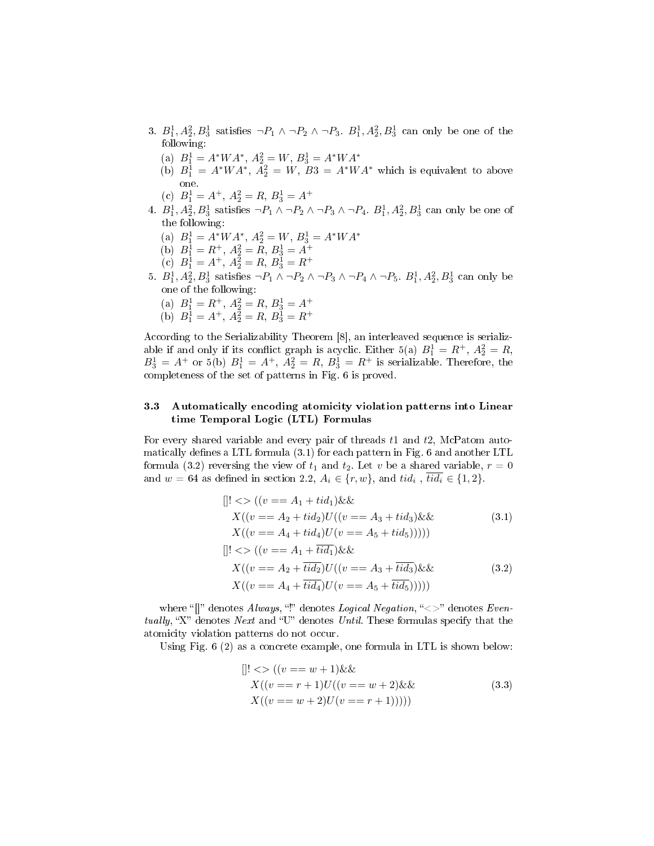- 3.  $B_1^1, A_2^2, B_3^1$  satisfies  $\neg P_1 \land \neg P_2 \land \neg P_3$ .  $B_1^1, A_2^2, B_3^1$  can only be one of the following:
	- (a)  $B_1^1 = A^*WA^*, A_2^2 = W, B_3^1 = A^*WA^*$
	- (b)  $B_1^1 = A^*WA^*$ ,  $A_2^2 = W$ ,  $B_3^1 = A^*WA^*$  which is equivalent to above one.
	- (c)  $B_1^1 = A^+, A_2^2 = R, B_3^1 = A^+$
- 4.  $B_1^1, A_2^2, B_3^1$  satisfies  $\neg P_1 \land \neg P_2 \land \neg P_3 \land \neg P_4$ .  $B_1^1, A_2^2, B_3^1$  can only be one of the following:
	- (a)  $B_1^1 = A^*WA^*, A_2^2 = W, B_3^1 = A^*WA^*$
	- (b)  $B_1^1 = R^+, A_2^2 = R, B_3^1 = A^+$
	- (c)  $B_1^1 = A^+, A_2^2 = R, B_3^1 = R^+$
- 5.  $B_1^1, A_2^2, B_3^1$  satisfies  $\neg P_1 \land \neg P_2 \land \neg P_3 \land \neg P_4 \land \neg P_5$ .  $B_1^1, A_2^2, B_3^1$  can only be one of the following:
	- (a)  $B_1^1 = R^+$ ,  $A_2^2 = R$ ,  $B_3^1 = A^+$
	- (b)  $B_1^1 = A^+, A_2^2 = R, B_3^1 = R^+$

According to the Serializability Theorem [8], an interleaved sequence is serializable if and only if its conflict graph is acyclic. Either 5(a)  $B_1^1 = R^+$ ,  $A_2^2 = R$ ,  $B_3^1 = A^+$  or 5(b)  $B_1^1 = A^+, A_2^2 = R, B_3^1 = R^+$  is serializable. Therefore, the completeness of the set of patterns in Fig. 6 is proved.

### 3.3 Automatically encoding atomicity violation patterns into Linear time Temporal Logic (LTL) Formulas

For every shared variable and every pair of threads  $t1$  and  $t2$ , McPatom automatically defines a LTL formula  $(3.1)$  for each pattern in Fig. 6 and another LTL formula (3.2) reversing the view of  $t_1$  and  $t_2$ . Let v be a shared variable,  $r = 0$ and  $w = 64$  as defined in section 2.2,  $A_i \in \{r, w\}$ , and  $tid_i$ ,  $tid_i \in \{1, 2\}$ .

$$
[]! \langle \rangle ((v == A_1 + tid_1) \& \& \qquad X((v == A_2 + tid_2)U)((v == A_3 + tid_3) \& \& \qquad (3.1)
$$
  
\n
$$
X((v == A_4 + tid_4)U(v == A_5 + tid_5))))
$$
  
\n
$$
[]! \langle \rangle ((v == A_1 + \overline{tid_1}) \& \& \qquad X((v == A_2 + \overline{tid_2})U((v == A_3 + \overline{tid_3}) \& \& \qquad (3.2)
$$
  
\n
$$
X((v == A_4 + \overline{tid_4})U(v == A_5 + \overline{tid_5}))))
$$

where " $[]$ " denotes Always, "!" denotes Logical Negation, " $\langle \rangle$ " denotes Eventually, "X" denotes Next and "U" denotes Until. These formulas specify that the atomicity violation patterns do not occur.

Using Fig. 6 (2) as a concrete example, one formula in LTL is shown below:

$$
[]! \langle \rangle ((v == w + 1) \& \& X((v == r + 1)U)((v == w + 2) \& \& X((v == w + 2)U(v == r + 1)))))
$$
(3.3)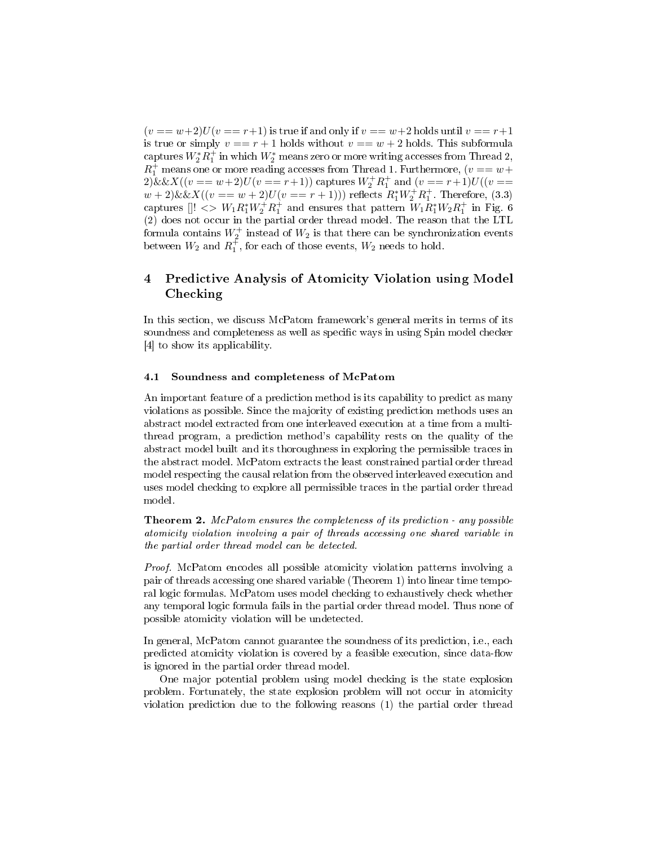$(v == w+2)U(v == r+1)$  is true if and only if  $v == w+2$  holds until  $v == r+1$ is true or simply  $v == r + 1$  holds without  $v == w + 2$  holds. This subformula  $\mathrm{captures\ }W_2^*R_1^+$  in which  $W_2^*$  means zero or more writing accesses from Thread 2,  $R_1^+$  means one or more reading accesses from Thread 1. Furthermore, ( $v == w +$  $2) \&\& X((v == w + 2)U(v == r + 1))$  captures  $W_2^+ R_1^+$  and  $(v == r + 1)U((v == r + 1))$  $w + 2)$ &&X(( $v == w + 2)U(v == r + 1)$ )) reflects  $R_1^* W_2^+ R_1^+$ . Therefore, (3.3) captures  $[]! \iff W_1 R_1^* W_2^+ R_1^+$  and ensures that pattern  $W_1 R_1^* W_2 R_1^+$  in Fig. 6 (2) does not occur in the partial order thread model. The reason that the LTL formula contains  $W_2^+$  instead of  $W_2$  is that there can be synchronization events between  $W_2$  and  $R_1^{\dagger}$ , for each of those events,  $W_2$  needs to hold.

# 4 Predictive Analysis of Atomicity Violation using Model Checking

In this section, we discuss McPatom framework's general merits in terms of its soundness and completeness as well as specific ways in using Spin model checker [4] to show its applicability.

### 4.1 Soundness and completeness of McPatom

An important feature of a prediction method is its capability to predict as many violations as possible. Since the majority of existing prediction methods uses an abstract model extracted from one interleaved execution at a time from a multithread program, a prediction method's capability rests on the quality of the abstract model built and its thoroughness in exploring the permissible traces in the abstract model. McPatom extracts the least constrained partial order thread model respecting the causal relation from the observed interleaved execution and uses model checking to explore all permissible traces in the partial order thread model.

Theorem 2. McPatom ensures the completeness of its prediction - any possible atomicity violation involving a pair of threads accessing one shared variable in the partial order thread model can be detected.

Proof. McPatom encodes all possible atomicity violation patterns involving a pair of threads accessing one shared variable (Theorem 1) into linear time temporal logic formulas. McPatom uses model checking to exhaustively check whether any temporal logic formula fails in the partial order thread model. Thus none of possible atomicity violation will be undetected.

In general, McPatom cannot guarantee the soundness of its prediction, i.e., each predicted atomicity violation is covered by a feasible execution, since data-flow is ignored in the partial order thread model.

One major potential problem using model checking is the state explosion problem. Fortunately, the state explosion problem will not occur in atomicity violation prediction due to the following reasons (1) the partial order thread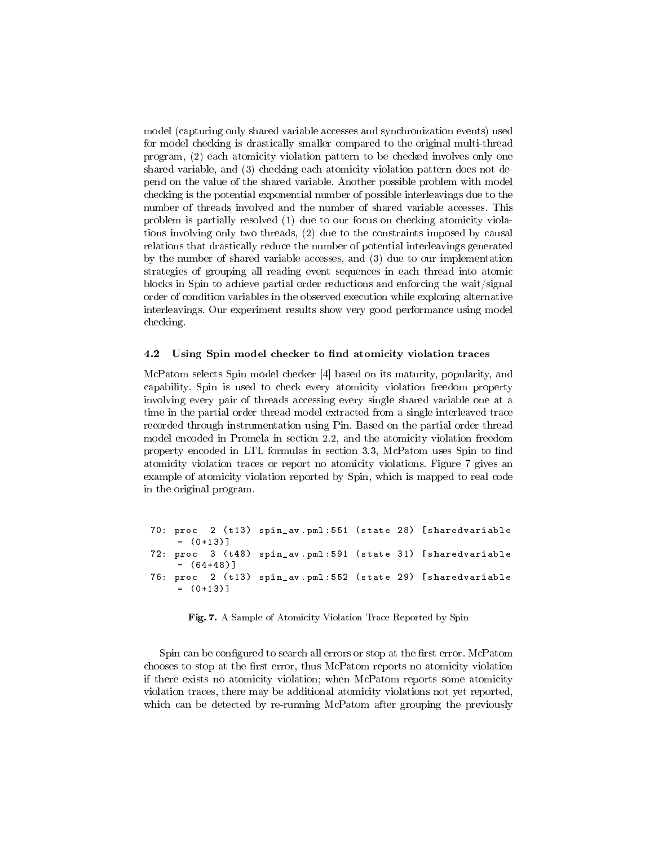model (capturing only shared variable accesses and synchronization events) used for model checking is drastically smaller compared to the original multi-thread program, (2) each atomicity violation pattern to be checked involves only one shared variable, and (3) checking each atomicity violation pattern does not depend on the value of the shared variable. Another possible problem with model checking is the potential exponential number of possible interleavings due to the number of threads involved and the number of shared variable accesses. This problem is partially resolved (1) due to our focus on checking atomicity violations involving only two threads, (2) due to the constraints imposed by causal relations that drastically reduce the number of potential interleavings generated by the number of shared variable accesses, and (3) due to our implementation strategies of grouping all reading event sequences in each thread into atomic blocks in Spin to achieve partial order reductions and enforcing the wait/signal order of condition variables in the observed execution while exploring alternative interleavings. Our experiment results show very good performance using model checking.

#### 4.2 Using Spin model checker to find atomicity violation traces

McPatom selects Spin model checker [4] based on its maturity, popularity, and capability. Spin is used to check every atomicity violation freedom property involving every pair of threads accessing every single shared variable one at a time in the partial order thread model extracted from a single interleaved trace recorded through instrumentation using Pin. Based on the partial order thread model encoded in Promela in section 2.2, and the atomicity violation freedom property encoded in LTL formulas in section 3.3, McPatom uses Spin to find atomicity violation traces or report no atomicity violations. Figure 7 gives an example of atomicity violation reported by Spin, which is mapped to real code in the original program.

70: proc 2 ( t13 ) spin\_av . pml :551 ( state 28) [ sharedvariable  $= (0+13)$ ] 72: proc 3 (t48) spin\_av.pml:591 (state 31) [sharedvariable  $= (64+48)$ 76: proc 2 ( t13 ) spin\_av . pml :552 ( state 29) [ sharedvariable  $= (0+13)$ ]

Fig. 7. A Sample of Atomicity Violation Trace Reported by Spin

Spin can be configured to search all errors or stop at the first error. McPatom chooses to stop at the first error, thus McPatom reports no atomicity violation if there exists no atomicity violation; when McPatom reports some atomicity violation traces, there may be additional atomicity violations not yet reported, which can be detected by re-running McPatom after grouping the previously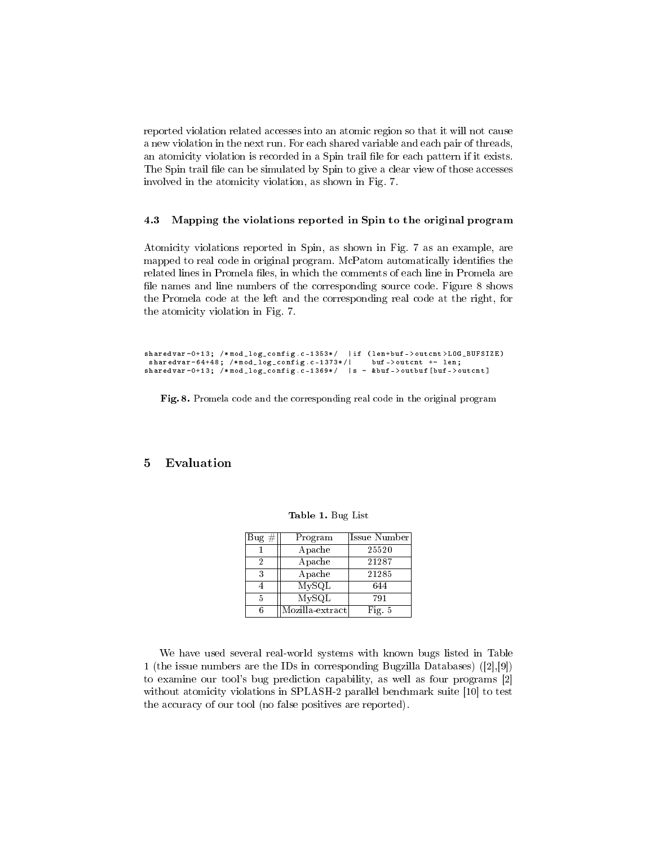reported violation related accesses into an atomic region so that it will not cause a new violation in the next run. For each shared variable and each pair of threads, an atomicity violation is recorded in a Spin trail file for each pattern if it exists. The Spin trail file can be simulated by Spin to give a clear view of those accesses involved in the atomicity violation, as shown in Fig. 7.

#### 4.3 Mapping the violations reported in Spin to the original program

Atomicity violations reported in Spin, as shown in Fig. 7 as an example, are mapped to real code in original program. McPatom automatically identifies the related lines in Promela files, in which the comments of each line in Promela are file names and line numbers of the corresponding source code. Figure 8 shows the Promela code at the left and the corresponding real code at the right, for the atomicity violation in Fig. 7.

```
sharedvar=0+13; /*mod_log_config.c-1353*/ | if (len+buf->outcnt>LOG_BUFSIZE)
sharedvar =64+48; /* mod_log_config .c -1373*/| buf -> outcnt += len ;
sharedvar =0+13; /* mod_log_config .c -1369*/ |s = & buf - > outbuf [ buf - > outcnt ]
```
Fig. 8. Promela code and the corresponding real code in the original program

### 5 Evaluation

| $Big \#$ | Program         | Issue Number |
|----------|-----------------|--------------|
|          | Apache          | 25520        |
| 2        | Apache          | 21287        |
| 3        | Apache          | 21285        |
|          | MySQL           | 644          |
| 5        | MySQL           | 791          |
|          | Mozilla-extract | Fig. $5$     |

Table 1. Bug List

We have used several real-world systems with known bugs listed in Table 1 (the issue numbers are the IDs in corresponding Bugzilla Databases) ([2],[9]) to examine our tool's bug prediction capability, as well as four programs [2] without atomicity violations in SPLASH-2 parallel benchmark suite [10] to test the accuracy of our tool (no false positives are reported).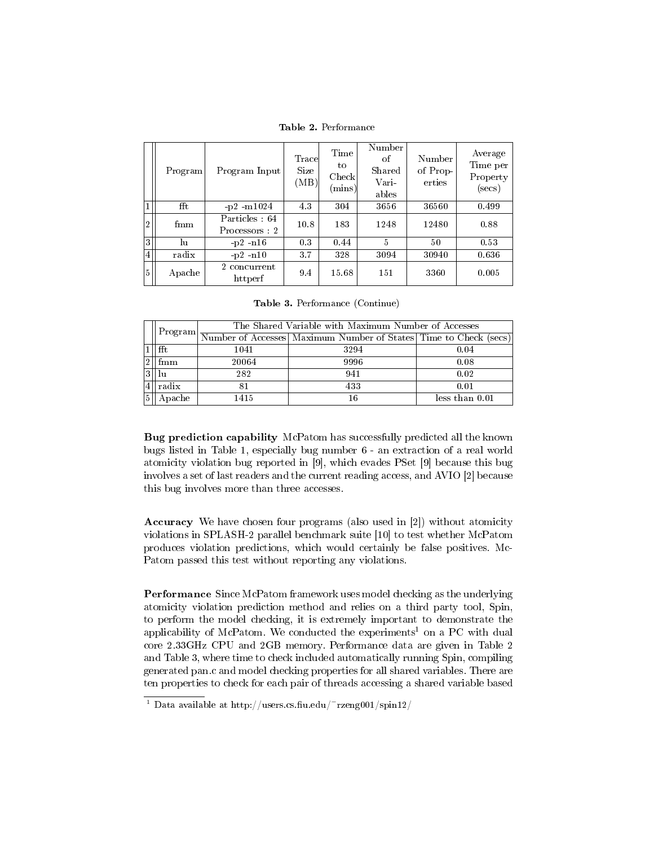Table 2. Performance

|                | Program      | Program Input                  | Trace<br><b>Size</b><br>(MB) | Time<br>tο<br>Check<br>$(\text{mins})$ | Number<br>of<br>Shared<br>Vari<br>ables | Number<br>of Prop-<br>erties | Average<br>Time per<br>Property<br>$(\mathrm{secs})$ |
|----------------|--------------|--------------------------------|------------------------------|----------------------------------------|-----------------------------------------|------------------------------|------------------------------------------------------|
|                | fft          | $-p2$ $-m1024$                 | 4.3                          | 304                                    | 3656                                    | 36560                        | 0.499                                                |
| 2              | $f_{\rm mm}$ | Particles: 64<br>Processors: 2 | 10.8                         | 183                                    | 1248                                    | 12480                        | 0.88                                                 |
| 3              | lu           | $-p2$ -n16                     | 0.3                          | 0.44                                   | 5                                       | 50                           | 0.53                                                 |
| $\overline{4}$ | radix        | $-p2 - n10$                    | 3.7                          | 328                                    | 3094                                    | 30940                        | 0.636                                                |
| 5              | Apache       | 2 concurrent<br>httperf        | 9.4                          | 15.68                                  | 151                                     | 3360                         | 0.005                                                |

Table 3. Performance (Continue)

|  | Program | The Shared Variable with Maximum Number of Accesses |                                                                  |                |  |  |
|--|---------|-----------------------------------------------------|------------------------------------------------------------------|----------------|--|--|
|  |         |                                                     | Number of Accesses Maximum Number of States Time to Check (secs) |                |  |  |
|  | fft     | 1041                                                | 3294                                                             | 0.04           |  |  |
|  | fmm     | 20064                                               | 9996                                                             | 0.08           |  |  |
|  |         | 282                                                 | 941                                                              | 0.02           |  |  |
|  | radix   |                                                     | 433                                                              | 0.01           |  |  |
|  | Apache  | 1415                                                | 16                                                               | less than 0.01 |  |  |

Bug prediction capability McPatom has successfully predicted all the known bugs listed in Table 1, especially bug number 6 - an extraction of a real world atomicity violation bug reported in [9], which evades PSet [9] because this bug involves a set of last readers and the current reading access, and AVIO [2] because this bug involves more than three accesses.

Accuracy We have chosen four programs (also used in [2]) without atomicity violations in SPLASH-2 parallel benchmark suite [10] to test whether McPatom produces violation predictions, which would certainly be false positives. Mc-Patom passed this test without reporting any violations.

Performance Since McPatom framework uses model checking as the underlying atomicity violation prediction method and relies on a third party tool, Spin, to perform the model checking, it is extremely important to demonstrate the applicability of McPatom. We conducted the experiments<sup>1</sup> on a PC with dual core 2.33GHz CPU and 2GB memory. Performance data are given in Table 2 and Table 3, where time to check included automatically running Spin, compiling generated pan.c and model checking properties for all shared variables. There are ten properties to check for each pair of threads accessing a shared variable based

<sup>&</sup>lt;sup>1</sup> Data available at http://users.cs.fiu.edu/~rzeng001/spin12/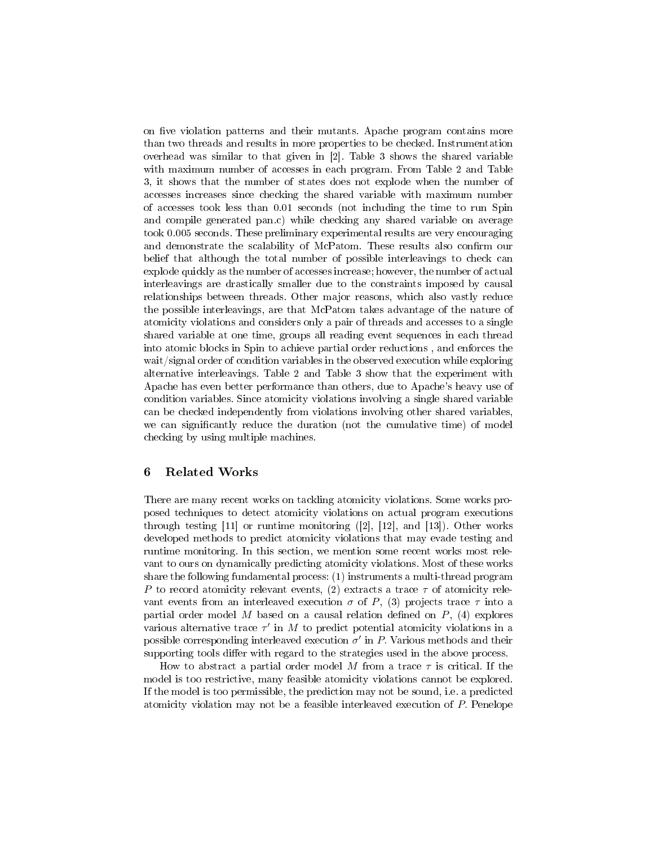on five violation patterns and their mutants. Apache program contains more than two threads and results in more properties to be checked. Instrumentation overhead was similar to that given in [2]. Table 3 shows the shared variable with maximum number of accesses in each program. From Table 2 and Table 3, it shows that the number of states does not explode when the number of accesses increases since checking the shared variable with maximum number of accesses took less than 0.01 seconds (not including the time to run Spin and compile generated pan.c) while checking any shared variable on average took 0.005 seconds. These preliminary experimental results are very encouraging and demonstrate the scalability of McPatom. These results also confirm our belief that although the total number of possible interleavings to check can explode quickly as the number of accesses increase; however, the number of actual interleavings are drastically smaller due to the constraints imposed by causal relationships between threads. Other major reasons, which also vastly reduce the possible interleavings, are that McPatom takes advantage of the nature of atomicity violations and considers only a pair of threads and accesses to a single shared variable at one time, groups all reading event sequences in each thread into atomic blocks in Spin to achieve partial order reductions , and enforces the wait/signal order of condition variables in the observed execution while exploring alternative interleavings. Table 2 and Table 3 show that the experiment with Apache has even better performance than others, due to Apache's heavy use of condition variables. Since atomicity violations involving a single shared variable can be checked independently from violations involving other shared variables, we can significantly reduce the duration (not the cumulative time) of model checking by using multiple machines.

### 6 Related Works

There are many recent works on tackling atomicity violations. Some works proposed techniques to detect atomicity violations on actual program executions through testing [11] or runtime monitoring ([2], [12], and [13]). Other works developed methods to predict atomicity violations that may evade testing and runtime monitoring. In this section, we mention some recent works most relevant to ours on dynamically predicting atomicity violations. Most of these works share the following fundamental process: (1) instruments a multi-thread program P to record atomicity relevant events, (2) extracts a trace  $\tau$  of atomicity relevant events from an interleaved execution  $\sigma$  of P, (3) projects trace  $\tau$  into a partial order model M based on a causal relation defined on  $P$ , (4) explores various alternative trace  $\tau'$  in M to predict potential atomicity violations in a possible corresponding interleaved execution  $\sigma'$  in P. Various methods and their supporting tools differ with regard to the strategies used in the above process.

How to abstract a partial order model M from a trace  $\tau$  is critical. If the model is too restrictive, many feasible atomicity violations cannot be explored. If the model is too permissible, the prediction may not be sound, i.e. a predicted atomicity violation may not be a feasible interleaved execution of P. Penelope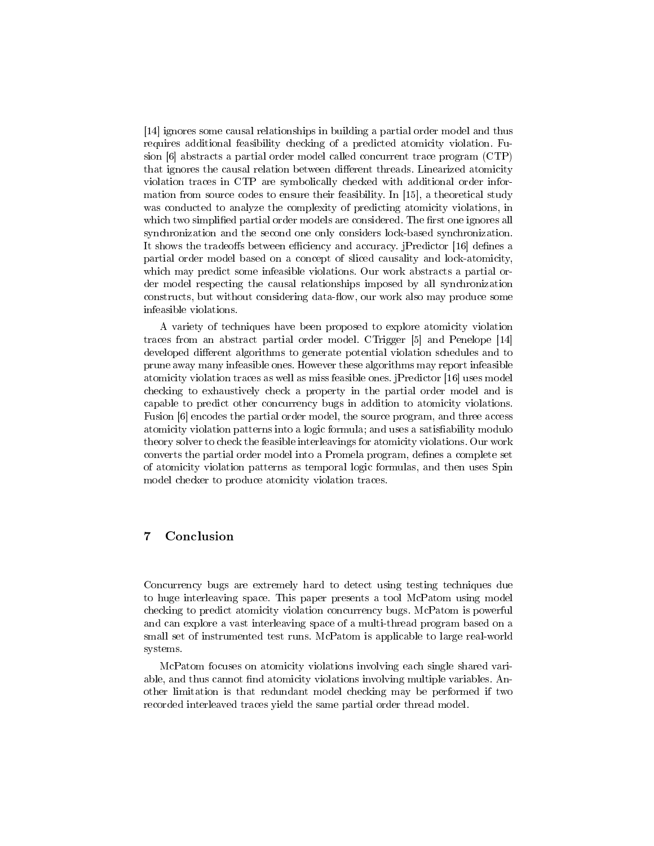[14] ignores some causal relationships in building a partial order model and thus requires additional feasibility checking of a predicted atomicity violation. Fusion [6] abstracts a partial order model called concurrent trace program (CTP) that ignores the causal relation between different threads. Linearized atomicity violation traces in CTP are symbolically checked with additional order information from source codes to ensure their feasibility. In [15], a theoretical study was conducted to analyze the complexity of predicting atomicity violations, in which two simplified partial order models are considered. The first one ignores all synchronization and the second one only considers lock-based synchronization. It shows the tradeoffs between efficiency and accuracy. jPredictor [16] defines a partial order model based on a concept of sliced causality and lock-atomicity, which may predict some infeasible violations. Our work abstracts a partial order model respecting the causal relationships imposed by all synchronization constructs, but without considering data-flow, our work also may produce some infeasible violations.

A variety of techniques have been proposed to explore atomicity violation traces from an abstract partial order model. CTrigger [5] and Penelope [14] developed different algorithms to generate potential violation schedules and to prune away many infeasible ones. However these algorithms may report infeasible atomicity violation traces as well as miss feasible ones. jPredictor [16] uses model checking to exhaustively check a property in the partial order model and is capable to predict other concurrency bugs in addition to atomicity violations. Fusion [6] encodes the partial order model, the source program, and three access atomicity violation patterns into a logic formula; and uses a satisfiability modulo theory solver to check the feasible interleavings for atomicity violations. Our work converts the partial order model into a Promela program, defines a complete set of atomicity violation patterns as temporal logic formulas, and then uses Spin model checker to produce atomicity violation traces.

# 7 Conclusion

Concurrency bugs are extremely hard to detect using testing techniques due to huge interleaving space. This paper presents a tool McPatom using model checking to predict atomicity violation concurrency bugs. McPatom is powerful and can explore a vast interleaving space of a multi-thread program based on a small set of instrumented test runs. McPatom is applicable to large real-world systems.

McPatom focuses on atomicity violations involving each single shared variable, and thus cannot find atomicity violations involving multiple variables. Another limitation is that redundant model checking may be performed if two recorded interleaved traces yield the same partial order thread model.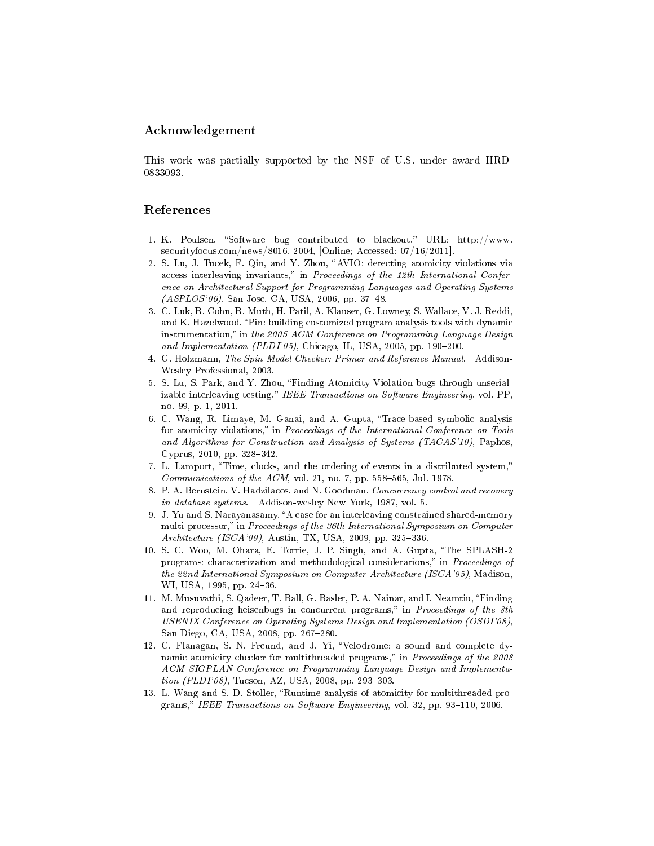### Acknowledgement

This work was partially supported by the NSF of U.S. under award HRD-0833093.

### References

- 1. K. Poulsen, "Software bug contributed to blackout," URL: http://www. securityfocus.com/news/8016, 2004, [Online; Accessed: 07/16/2011].
- 2. S. Lu, J. Tucek, F. Qin, and Y. Zhou, "AVIO: detecting atomicity violations via access interleaving invariants," in Proceedings of the 12th International Conference on Architectural Support for Programming Languages and Operating Systems  $(ASPLOS'06)$ , San Jose, CA, USA, 2006, pp. 37–48.
- 3. C. Luk, R. Cohn, R. Muth, H. Patil, A. Klauser, G. Lowney, S. Wallace, V. J. Reddi, and K. Hazelwood, "Pin: building customized program analysis tools with dynamic instrumentation," in the 2005 ACM Conference on Programming Language Design and Implementation (PLDI'05), Chicago, IL, USA, 2005, pp. 190-200.
- 4. G. Holzmann, The Spin Model Checker: Primer and Reference Manual. Addison-Wesley Professional, 2003.
- 5. S. Lu, S. Park, and Y. Zhou, Finding Atomicity-Violation bugs through unserializable interleaving testing," IEEE Transactions on Software Engineering, vol. PP. no. 99, p. 1, 2011.
- 6. C. Wang, R. Limaye, M. Ganai, and A. Gupta, Trace-based symbolic analysis for atomicity violations," in Proceedings of the International Conference on Tools and Algorithms for Construction and Analysis of Systems (TACAS'10), Paphos, Cyprus, 2010, pp. 328-342.
- 7. L. Lamport, Time, clocks, and the ordering of events in a distributed system, *Communications of the ACM*, vol. 21, no. 7, pp. 558–565, Jul. 1978.
- 8. P. A. Bernstein, V. Hadzilacos, and N. Goodman, Concurrency control and recovery in database systems. Addison-wesley New York, 1987, vol. 5.
- 9. J. Yu and S. Narayanasamy, "A case for an interleaving constrained shared-memory multi-processor," in Proceedings of the 36th International Symposium on Computer Architecture (ISCA'09), Austin, TX, USA, 2009, pp. 325–336.
- 10. S. C. Woo, M. Ohara, E. Torrie, J. P. Singh, and A. Gupta, The SPLASH-2 programs: characterization and methodological considerations," in Proceedings of the 22nd International Symposium on Computer Architecture (ISCA'95), Madison, WI, USA, 1995, pp. 24-36.
- 11. M. Musuvathi, S. Qadeer, T. Ball, G. Basler, P. A. Nainar, and I. Neamtiu, Finding and reproducing heisenbugs in concurrent programs," in Proceedings of the 8th USENIX Conference on Operating Systems Design and Implementation (OSDI'08), San Diego, CA, USA, 2008, pp. 267-280.
- 12. C. Flanagan, S. N. Freund, and J. Yi, "Velodrome: a sound and complete dynamic atomicity checker for multithreaded programs," in Proceedings of the 2008 ACM SIGPLAN Conference on Programming Language Design and Implementa $tion (PLDI'08)$ , Tucson, AZ, USA, 2008, pp. 293-303.
- 13. L. Wang and S. D. Stoller, "Runtime analysis of atomicity for multithreaded programs," IEEE Transactions on Software Engineering, vol. 32, pp. 93-110, 2006.